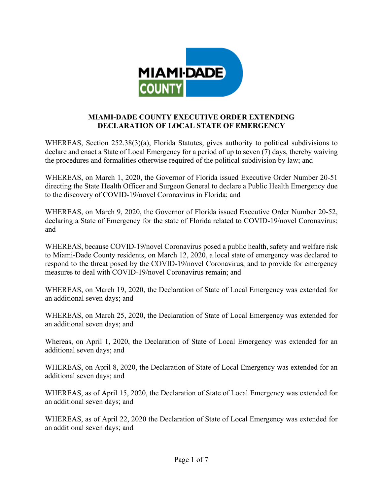

## **MIAMI-DADE COUNTY EXECUTIVE ORDER EXTENDING DECLARATION OF LOCAL STATE OF EMERGENCY**

WHEREAS, Section 252.38(3)(a), Florida Statutes, gives authority to political subdivisions to declare and enact a State of Local Emergency for a period of up to seven (7) days, thereby waiving the procedures and formalities otherwise required of the political subdivision by law; and

WHEREAS, on March 1, 2020, the Governor of Florida issued Executive Order Number 20-51 directing the State Health Officer and Surgeon General to declare a Public Health Emergency due to the discovery of COVID-19/novel Coronavirus in Florida; and

WHEREAS, on March 9, 2020, the Governor of Florida issued Executive Order Number 20-52, declaring a State of Emergency for the state of Florida related to COVID-19/novel Coronavirus; and

WHEREAS, because COVID-19/novel Coronavirus posed a public health, safety and welfare risk to Miami-Dade County residents, on March 12, 2020, a local state of emergency was declared to respond to the threat posed by the COVID-19/novel Coronavirus, and to provide for emergency measures to deal with COVID-19/novel Coronavirus remain; and

WHEREAS, on March 19, 2020, the Declaration of State of Local Emergency was extended for an additional seven days; and

WHEREAS, on March 25, 2020, the Declaration of State of Local Emergency was extended for an additional seven days; and

Whereas, on April 1, 2020, the Declaration of State of Local Emergency was extended for an additional seven days; and

WHEREAS, on April 8, 2020, the Declaration of State of Local Emergency was extended for an additional seven days; and

WHEREAS, as of April 15, 2020, the Declaration of State of Local Emergency was extended for an additional seven days; and

WHEREAS, as of April 22, 2020 the Declaration of State of Local Emergency was extended for an additional seven days; and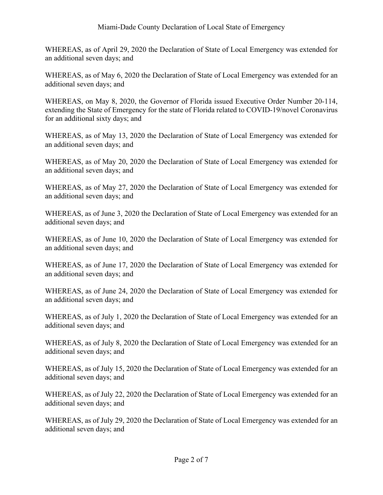WHEREAS, as of April 29, 2020 the Declaration of State of Local Emergency was extended for an additional seven days; and

WHEREAS, as of May 6, 2020 the Declaration of State of Local Emergency was extended for an additional seven days; and

WHEREAS, on May 8, 2020, the Governor of Florida issued Executive Order Number 20-114, extending the State of Emergency for the state of Florida related to COVID-19/novel Coronavirus for an additional sixty days; and

WHEREAS, as of May 13, 2020 the Declaration of State of Local Emergency was extended for an additional seven days; and

WHEREAS, as of May 20, 2020 the Declaration of State of Local Emergency was extended for an additional seven days; and

WHEREAS, as of May 27, 2020 the Declaration of State of Local Emergency was extended for an additional seven days; and

WHEREAS, as of June 3, 2020 the Declaration of State of Local Emergency was extended for an additional seven days; and

WHEREAS, as of June 10, 2020 the Declaration of State of Local Emergency was extended for an additional seven days; and

WHEREAS, as of June 17, 2020 the Declaration of State of Local Emergency was extended for an additional seven days; and

WHEREAS, as of June 24, 2020 the Declaration of State of Local Emergency was extended for an additional seven days; and

WHEREAS, as of July 1, 2020 the Declaration of State of Local Emergency was extended for an additional seven days; and

WHEREAS, as of July 8, 2020 the Declaration of State of Local Emergency was extended for an additional seven days; and

WHEREAS, as of July 15, 2020 the Declaration of State of Local Emergency was extended for an additional seven days; and

WHEREAS, as of July 22, 2020 the Declaration of State of Local Emergency was extended for an additional seven days; and

WHEREAS, as of July 29, 2020 the Declaration of State of Local Emergency was extended for an additional seven days; and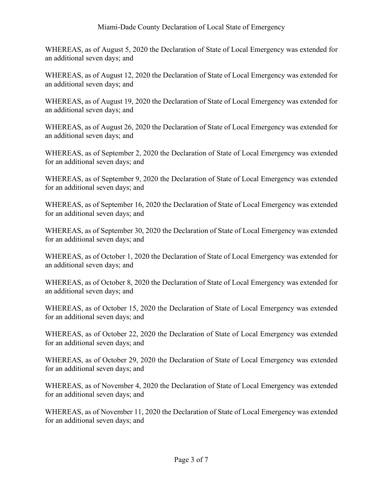WHEREAS, as of August 5, 2020 the Declaration of State of Local Emergency was extended for an additional seven days; and

WHEREAS, as of August 12, 2020 the Declaration of State of Local Emergency was extended for an additional seven days; and

WHEREAS, as of August 19, 2020 the Declaration of State of Local Emergency was extended for an additional seven days; and

WHEREAS, as of August 26, 2020 the Declaration of State of Local Emergency was extended for an additional seven days; and

WHEREAS, as of September 2, 2020 the Declaration of State of Local Emergency was extended for an additional seven days; and

WHEREAS, as of September 9, 2020 the Declaration of State of Local Emergency was extended for an additional seven days; and

WHEREAS, as of September 16, 2020 the Declaration of State of Local Emergency was extended for an additional seven days; and

WHEREAS, as of September 30, 2020 the Declaration of State of Local Emergency was extended for an additional seven days; and

WHEREAS, as of October 1, 2020 the Declaration of State of Local Emergency was extended for an additional seven days; and

WHEREAS, as of October 8, 2020 the Declaration of State of Local Emergency was extended for an additional seven days; and

WHEREAS, as of October 15, 2020 the Declaration of State of Local Emergency was extended for an additional seven days; and

WHEREAS, as of October 22, 2020 the Declaration of State of Local Emergency was extended for an additional seven days; and

WHEREAS, as of October 29, 2020 the Declaration of State of Local Emergency was extended for an additional seven days; and

WHEREAS, as of November 4, 2020 the Declaration of State of Local Emergency was extended for an additional seven days; and

WHEREAS, as of November 11, 2020 the Declaration of State of Local Emergency was extended for an additional seven days; and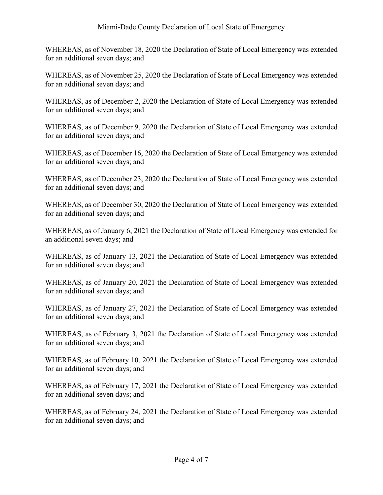WHEREAS, as of November 18, 2020 the Declaration of State of Local Emergency was extended for an additional seven days; and

WHEREAS, as of November 25, 2020 the Declaration of State of Local Emergency was extended for an additional seven days; and

WHEREAS, as of December 2, 2020 the Declaration of State of Local Emergency was extended for an additional seven days; and

WHEREAS, as of December 9, 2020 the Declaration of State of Local Emergency was extended for an additional seven days; and

WHEREAS, as of December 16, 2020 the Declaration of State of Local Emergency was extended for an additional seven days; and

WHEREAS, as of December 23, 2020 the Declaration of State of Local Emergency was extended for an additional seven days; and

WHEREAS, as of December 30, 2020 the Declaration of State of Local Emergency was extended for an additional seven days; and

WHEREAS, as of January 6, 2021 the Declaration of State of Local Emergency was extended for an additional seven days; and

WHEREAS, as of January 13, 2021 the Declaration of State of Local Emergency was extended for an additional seven days; and

WHEREAS, as of January 20, 2021 the Declaration of State of Local Emergency was extended for an additional seven days; and

WHEREAS, as of January 27, 2021 the Declaration of State of Local Emergency was extended for an additional seven days; and

WHEREAS, as of February 3, 2021 the Declaration of State of Local Emergency was extended for an additional seven days; and

WHEREAS, as of February 10, 2021 the Declaration of State of Local Emergency was extended for an additional seven days; and

WHEREAS, as of February 17, 2021 the Declaration of State of Local Emergency was extended for an additional seven days; and

WHEREAS, as of February 24, 2021 the Declaration of State of Local Emergency was extended for an additional seven days; and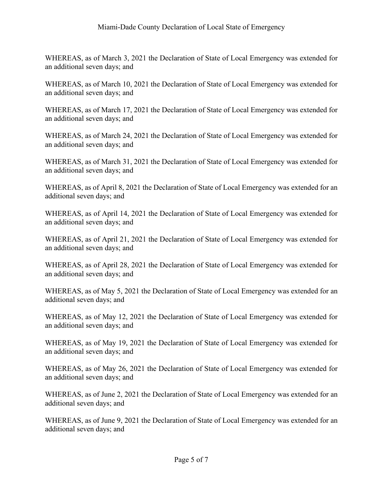WHEREAS, as of March 3, 2021 the Declaration of State of Local Emergency was extended for an additional seven days; and

WHEREAS, as of March 10, 2021 the Declaration of State of Local Emergency was extended for an additional seven days; and

WHEREAS, as of March 17, 2021 the Declaration of State of Local Emergency was extended for an additional seven days; and

WHEREAS, as of March 24, 2021 the Declaration of State of Local Emergency was extended for an additional seven days; and

WHEREAS, as of March 31, 2021 the Declaration of State of Local Emergency was extended for an additional seven days; and

WHEREAS, as of April 8, 2021 the Declaration of State of Local Emergency was extended for an additional seven days; and

WHEREAS, as of April 14, 2021 the Declaration of State of Local Emergency was extended for an additional seven days; and

WHEREAS, as of April 21, 2021 the Declaration of State of Local Emergency was extended for an additional seven days; and

WHEREAS, as of April 28, 2021 the Declaration of State of Local Emergency was extended for an additional seven days; and

WHEREAS, as of May 5, 2021 the Declaration of State of Local Emergency was extended for an additional seven days; and

WHEREAS, as of May 12, 2021 the Declaration of State of Local Emergency was extended for an additional seven days; and

WHEREAS, as of May 19, 2021 the Declaration of State of Local Emergency was extended for an additional seven days; and

WHEREAS, as of May 26, 2021 the Declaration of State of Local Emergency was extended for an additional seven days; and

WHEREAS, as of June 2, 2021 the Declaration of State of Local Emergency was extended for an additional seven days; and

WHEREAS, as of June 9, 2021 the Declaration of State of Local Emergency was extended for an additional seven days; and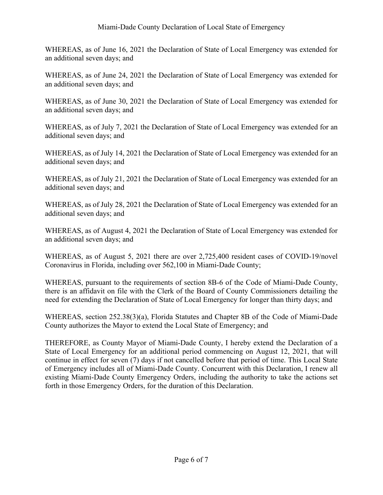WHEREAS, as of June 16, 2021 the Declaration of State of Local Emergency was extended for an additional seven days; and

WHEREAS, as of June 24, 2021 the Declaration of State of Local Emergency was extended for an additional seven days; and

WHEREAS, as of June 30, 2021 the Declaration of State of Local Emergency was extended for an additional seven days; and

WHEREAS, as of July 7, 2021 the Declaration of State of Local Emergency was extended for an additional seven days; and

WHEREAS, as of July 14, 2021 the Declaration of State of Local Emergency was extended for an additional seven days; and

WHEREAS, as of July 21, 2021 the Declaration of State of Local Emergency was extended for an additional seven days; and

WHEREAS, as of July 28, 2021 the Declaration of State of Local Emergency was extended for an additional seven days; and

WHEREAS, as of August 4, 2021 the Declaration of State of Local Emergency was extended for an additional seven days; and

WHEREAS, as of August 5, 2021 there are over 2,725,400 resident cases of COVID-19/novel Coronavirus in Florida, including over 562,100 in Miami-Dade County;

WHEREAS, pursuant to the requirements of section 8B-6 of the Code of Miami-Dade County, there is an affidavit on file with the Clerk of the Board of County Commissioners detailing the need for extending the Declaration of State of Local Emergency for longer than thirty days; and

WHEREAS, section 252.38(3)(a), Florida Statutes and Chapter 8B of the Code of Miami-Dade County authorizes the Mayor to extend the Local State of Emergency; and

THEREFORE, as County Mayor of Miami-Dade County, I hereby extend the Declaration of a State of Local Emergency for an additional period commencing on August 12, 2021, that will continue in effect for seven (7) days if not cancelled before that period of time. This Local State of Emergency includes all of Miami-Dade County. Concurrent with this Declaration, I renew all existing Miami-Dade County Emergency Orders, including the authority to take the actions set forth in those Emergency Orders, for the duration of this Declaration.